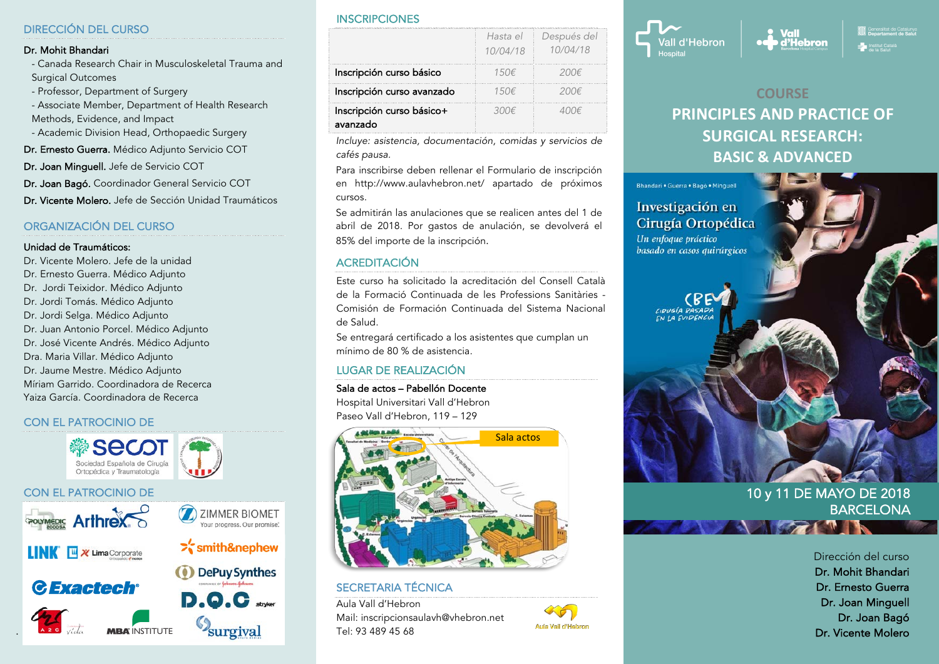#### DIRECCIÓN DEL CURSO

#### Dr. Mohit Bhandari

- Canada Research Chair in Musculoskeletal Trauma and Surgical Outcomes

- Professor, Department of Surgery

- Associate Member, Department of Health Research Methods, Evidence, and Impact

- Academic Division Head, Orthopaedic Surgery

Dr. Ernesto Guerra. Médico Adjunto Servicio COT

Dr. Joan Minguell. Jefe de Servicio COT

Dr. Joan Bagó. Coordinador General Servicio COT

Dr. Vicente Molero. Jefe de Sección Unidad Traumáticos

### ORGANIZACIÓN DEL CURSO

#### Unidad de Traumáticos:

Dr. Vicente Molero. Jefe de la unidad Dr. Ernesto Guerra. Médico Adjunto Dr. Jordi Teixidor. Médico Adjunto Dr. Jordi Tomás. Médico Adjunto Dr. Jordi Selga. Médico Adjunto Dr. Juan Antonio Porcel. Médico Adjunto Dr. José Vicente Andrés. Médico Adjunto Dra. Maria Villar. Médico Adjunto Dr. Jaume Mestre. Médico Adjunto Míriam Garrido. Coordinadora de Recerca Yaiza García. Coordinadora de Recerca

#### CON EL PATROCINIO DE

.



#### **INSCRIPCIONES**

|                                       | Hasta el<br>10/04/18 | Después del<br>10/04/18 |
|---------------------------------------|----------------------|-------------------------|
| Inscripción curso básico              | 150f                 | 200E                    |
| Inscripción curso avanzado            | 150f                 | 20UE                    |
| Inscripción curso básico+<br>avanzado | 300€                 |                         |

*Incluye: asistencia, documentación, comidas y servicios de cafés pausa.*

Para inscribirse deben rellenar el Formulario de inscripción en http://www.aulavhebron.net/ apartado de próximos cursos.

Se admitirán las anulaciones que se realicen antes del 1 de abril de 2018. Por gastos de anulación, se devolverá el 85% del importe de la inscripción.

#### **ACREDITACIÓN**

Este curso ha solicitado la acreditación del Consell Català de la Formació Continuada de les Professions Sanitàries - Comisión de Formación Continuada del Sistema Nacional de Salud.

Se entregará certificado a los asistentes que cumplan un mínimo de 80 % de asistencia.

#### LUGAR DE REALIZACIÓN

#### Sala de actos – Pabellón Docente

Hospital Universitari Vall d'Hebron Paseo Vall d'Hebron, 119 – 129



SECRETARIA TÉCNICA Aula Vall d'Hebron Mail: inscripcionsaulavh@vhebron.net Tel: 93 489 45 68





Generalitat de Catalunya<br>Denartament de Salut **Vall** d'Hebron  $\frac{1}{2}$  Institut Catala

# **COURSE PRINCIPLES AND PRACTICE OF SURGICAL RESEARCH: BASIC & ADVANCED**



## 10 y 11 DE MAYO DE 2018 **BARCELONA**

Dirección del curso Dr. Mohit Bhandari Dr. Ernesto Guerra Dr. Joan Minguell Dr. Joan Bagó Dr. Vicente Molero